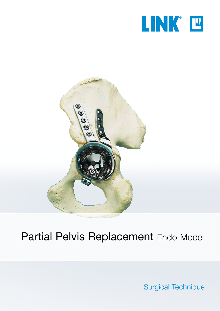



# Partial Pelvis Replacement Endo-Model

Surgical Technique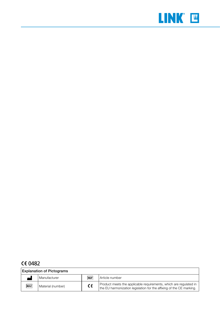

## **CE 0482**

| <b>Explanation of Pictograms</b> |                   |            |                                                                                                                                           |  |
|----------------------------------|-------------------|------------|-------------------------------------------------------------------------------------------------------------------------------------------|--|
| 844                              | l Manufacturer    | <b>REF</b> | Article number                                                                                                                            |  |
| <b>MAT</b>                       | Material (number) | CE         | Product meets the applicable requirements, which are regulated in<br>the EU harmonization legislation for the affixing of the CE marking. |  |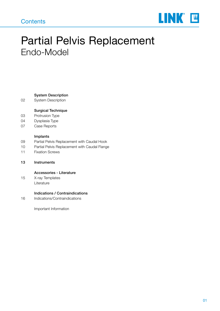## **Contents**



# Partial Pelvis Replacement Endo-Model

#### System Description

02 System Description

#### Surgical Technique

- 03 Protrusion Type
- 04 Dysplasia Type
- 07 Case Reports

#### Implants

- 09 Partial Pelvis Replacement with Caudal Hook
- 10 Partial Pelvis Replacement with Caudal Flange
- 11 Fixation Screws
- 13 Instruments

#### Accessories - Literature

15 X-ray Templates Literature

#### Indications / Contraindications

16 Indications/Contraindications

Important Information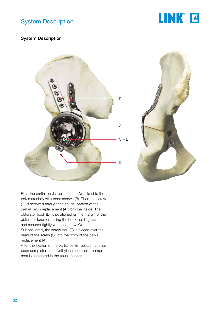

## System Description





First, the partial pelvis replacement (A) is fixed to the pelvis cranially with bone screws (B). Then the screw (C) is screwed through the caudal section of the partial pelvis replacement (A) from the inside. The obturator hook (D) is positioned on the margin of the obturator foramen, using the hook-holding clamp, and secured tightly with the screw (C).

Subsequently, the screw lock (E) is placed over the head of the screw (C) into the body of the pelvis replacement (A).

After the fixation of the partial pelvis replacement has been completed, a polyethylene acetabular component is cemented in the usual manner.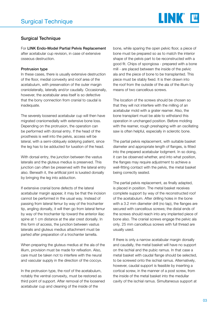

## Surgical Technique

For LINK Endo-Model Partial Pelvis Replacement after acetabular cup revision, in case of extensive osseous destruction.

#### Protrusion type

In these cases, there is usually extensive destruction of the floor, medial convexity and roof area of the acetabulum, with preservation of the outer margin craniolaterally, laterally and/or caudally. Occasionally, however, the acetabular area itself is so defective that the bony connection from cranial to caudal is inadequate.

The severely loosened acetabular cup will then have migrated craniomedially with extensive bone loss. Depending on the protrusion, the operation can be performed with dorsal entry. If the head of the prosthesis is well into the pelvis, access will be lateral, with a semi-obliquely sidelying patient, since the leg has to be adducted for luxation of the head.

With dorsal entry, the junction between the vastus lateralis and the gluteus medius is preserved. This junction can often be preserved with the lateral entry also. Beneath it, the artificial joint is luxated dorsally by bringing the leg into adduction.

If extensive cranial bone defects of the lateral acetabular margin appear, it may be that the incision cannot be performed in the usual way. Instead of passing from lateral femur by way of the trochanter tip, angling dorsally, it will then go from lateral femur by way of the trochanter tip toward the anterior iliac spine at 1 cm distance at the alar crest dorsally. In this form of access, the junction between vastus lateralis and gluteus medius attachment must be parted after preparation of a trochanter lamella.

When preparing the gluteus medius at the ala of the illium, provision must be made for refixation. Also, care must be taken not to interfere with the neural and vascular supply in the direction of the coccyx.

In the protrusion type, the roof of the acetabulum, notably the ventral convexity, must be restored as third point of support. After removal of the loosened acetabular cup and cleaning of the inside of the

bone, while sparing the open pelvic floor, a piece of bone must be prepared so as to match the interior shape of the pelvis part to be reconstructed with a good fit. Chips of spongiosa - prepared with a bone mill - are placed between the inside of the pelvic ala and the piece of bone to be transplanted. This piece must be stably fixed. It is then drawn into the roof from the outside of the ala of the illium by means of two cancellous screws.

The location of the screws should be chosen so that they will not interfere with the milling of an acetabular mold with a grater reamer. Also, the bone transplant must be able to withstand this operation in unchanged position. Before molding with the reamer, rough preshaping with an oscillating saw is often helpful, especially in sclerotic bone.

The partial pelvis replacement, with suitable basket diameter and appropriate length of flanges, is fitted into the prepared acetabular lodgment. In so doing, it can be observed whether, and into what position, the flanges may require adjustment to achieve a well-fitting contact with the pelvis, the metal basket being correctly seated.

The partial pelvis replacement, as finally adapted, is placed in position. The metal basket receives complete support by way of the reconstructed roof of the acetabulum. After drilling holes in the bone with a 3.2 mm diameter drill (no tap), the flanges are secured with cancellous screws; the distal ends of the screws should reach into any implanted piece of bone also. The cranial screws engage the pelvic ala only. 25 mm cancellous screws with full thread are usually used.

If there is only a narrow acetabular margin dorsally and caudally, the metal basket will have no support on the ischial and the pubic ramus. In that case a metal basket with caudal flange should be selected, to be screwed onto the ischial ramus. Alternatively, however, caudal support is feasible by inserting a cortical screw, in the manner of a post screw, from the inside of the metal basket into the medullar cavity of the ischial ramus. Simultaneous support at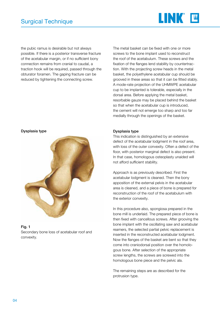

the pubic ramus is desirable but not always possible. If there is a posterior transverse fracture of the acetabular margin, or if no sufficient bony connection remains from cranial to caudal, a traction hook will be required, passed through the obturator foramen. The gaping fracture can be reduced by tightening the connecting screw.

Dysplasia type



#### Fig. 1

Secondary bone loss of acetabular roof and convexity.

The metal basket can be fixed with one or more screws to the bone implant used to reconstruct the roof of the acetabulum. These screws and the fixation of the flanges lend stability by countertraction. With the projecting screw heads in the metal basket, the polyethylene acetabular cup should be grooved in these areas so that it can be fitted stably. A mode-rate projection of the UHMWPE acetabular cup to be implanted is tolerable, especially in the dorsal area. Before applying the metal basket, resorbable gauze may be placed behind the basket so that when the acetabular cup is introduced, the cement will not emerge too sharp and too far medially through the openings of the basket.

#### Dysplasia type

This indication is distinguished by an extensive defect of the acetabular lodgment in the roof area, with loss of the outer convexity. Often a defect of the floor, with posterior marginal defect is also present. In that case, homologous osteoplasty unaided will not afford sufficient stability.

Approach is as previously described. First the acetabular lodgment is cleaned. Then the bony apposition of the external pelvis in the acetabular area is cleaned, and a piece of bone is prepared for reconstruction of the roof of the acetabulum with the exterior convexity.

In this procedure also, spongiosa prepared in the bone mill is underlaid. The prepared piece of bone is then fixed with cancellous screws. After grooving the bone implant with the oscillating saw and acetabular reamers, the selected partial pelvic replacement is inserted in the reconstructed acetabular lodgment. Now the flanges of the basket are bent so that they come into craniodorsal position over the homologous bone. After selection of the appropriate screw lengths, the screws are screwed into the homologous bone piece and the pelvic ala.

The remaining steps are as described for the protrusion type.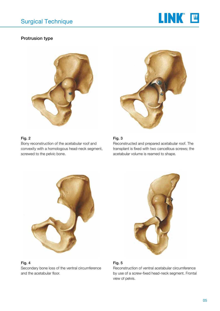

## Protrusion type



### Fig. 2

Bony reconstruction of the acetabular roof and convexity with a homologous head-neck segment, screwed to the pelvic bone.



## Fig. 3

Reconstructed and prepared acetabular roof. The transplant is fixed with two cancellous screws; the acetabular volume is reamed to shape.



#### Fig. 4

Secondary bone loss of the ventral circumference and the acetabular floor.



## Fig. 5

Reconstruction of ventral acetabular circumference by use of a screw-fixed head-neck segment. Frontal view of pelvis.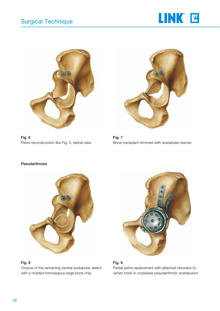



Fig. 6 Pelvis reconstruction like Fig. 5, lateral view.



Fig. 7 Bone transplant trimmed with acetabular reamer.



### Fig. 8

Closure of the remaining central acetabular defect with a molded homologous large bone chip.



#### Fig. 9

Partial pelvis replacement with attached obturator foramen hook in crosswise pseudarthrotic acetabulum.

#### Pseudarthrosis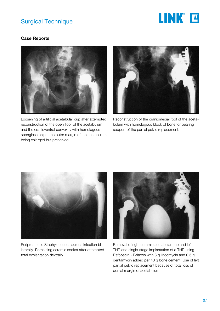

## Case Reports



Loosening of artificial acetabular cup after attempted reconstruction of the open floor of the acetabulum and the cranioventral convexity with homologous spongiosa chips, the outer margin of the acetabulum being enlarged but preserved.



Reconstruction of the craniomedial roof of the acetabulum with homologous block of bone for bearing support of the partial pelvic replacement.



Periprosthetic Staphylococcus aureus infection bilaterally. Remaining ceramic socket after attempted total explantation dextrally.



Removal of right ceramic acetabular cup and left THR and single-stage implantation of a THR using Refobacin - Palacos with 3 g lincomycin and 0.5 g gentamycin added per 40 g bone cement. Use of left partial pelvic replacement because of total loss of dorsal margin of acetabulum.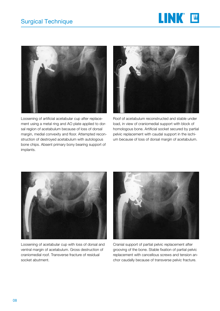



Loosening of artificial acetabular cup after replacement using a metal ring and AO plate applied to dorsal region of acetabulum because of loss of dorsal margin, medial convexity and floor. Attempted reconstruction of destroyed acetabulum with autologous bone chips. Absent primary bony bearing support of implants.



Roof of acetabulum reconstructed and stable under load, in view of craniomedial support with block of homologous bone. Artificial socket secured by partial pelvic replacement with caudal support in the ischium because of loss of dorsal margin of acetabulum.



Loosening of acetabular cup with loss of dorsal and ventral margin of acetabulum. Gross destruction of craniomedial roof. Transverse fracture of residual socket abutment.



Cranial support of partial pelvic replacement after grooving of the bone. Stable fixation of partial pelvic replacement with cancellous screws and tension anchor caudally because of transverse pelvic fracture.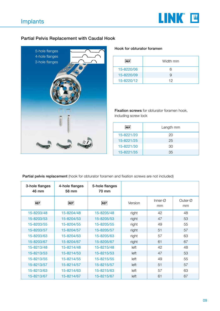

## Partial Pelvis Replacement with Caudal Hook



#### Hook for obturator foramen

| <b>REF</b> | Width mm |
|------------|----------|
| 15-8220/06 | 6        |
| 15-8220/09 | 9        |
| 15-8220/12 | 12       |

Fixation screws for obturator foramen hook, including screw lock

| <b>REF</b> | Length mm |
|------------|-----------|
| 15-8221/20 | 20        |
| 15-8221/25 | 25        |
| 15-8221/30 | 30        |
| 15-8221/35 | 35        |

## Partial pelvis replacement (hook for obturator foramen and fixation screws are not included)

| 3-hole flanges<br>46 mm | 4-hole flanges<br>58 mm | 5-hole flanges<br>70 mm |         |                            |                  |
|-------------------------|-------------------------|-------------------------|---------|----------------------------|------------------|
| <b>REF</b>              | <b>REF</b>              | <b>REF</b>              | Version | Inner- $\varnothing$<br>mm | Outer- $Ø$<br>mm |
| 15-8203/48              | 15-8204/48              | 15-8205/48              | right   | 42                         | 48               |
| 15-8203/53              | 15-8204/53              | 15-8205/53              | right   | 47                         | 53               |
| 15-8203/55              | 15-8204/55              | 15-8205/55              | right   | 49                         | 55               |
| 15-8203/57              | 15-8204/57              | 15-8205/57              | right   | 51                         | 57               |
| 15-8203/63              | 15-8204/63              | 15-8205/63              | right   | 57                         | 63               |
| 15-8203/67              | 15-8204/67              | 15-8205/67              | right   | 61                         | 67               |
| 15-8213/48              | 15-8214/48              | 15-8215/48              | left    | 42                         | 48               |
| 15-8213/53              | 15-8214/53              | 15-8215/53              | left    | 47                         | 53               |
| 15-8213/55              | 15-8214/55              | 15-8215/55              | left    | 49                         | 55               |
| 15-8213/57              | 15-8214/57              | 15-8215/57              | left    | 51                         | 57               |
| 15-8213/63              | 15-8214/63              | 15-8215/63              | left    | 57                         | 63               |
| 15-8213/67              | 15-8214/67              | 15-8215/67              | left    | 61                         | 67               |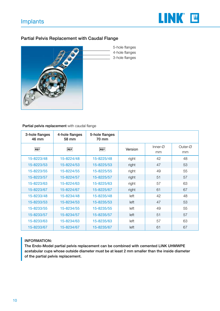

## Partial Pelvis Replacement with Caudal Flange



5-hole flanges 4-hole flanges 3-hole flanges

Partial pelvis replacement with caudal flange

| 3-hole flanges<br>46 mm | 4-hole flanges<br>58 mm | 5-hole flanges<br>70 mm |         |                            |               |
|-------------------------|-------------------------|-------------------------|---------|----------------------------|---------------|
| <b>REF</b>              | <b>REF</b>              | <b>REF</b>              | Version | Inner- $\varnothing$<br>mm | Outer-Ø<br>mm |
| 15-8223/48              | 15-8224/48              | 15-8225/48              | right   | 42                         | 48            |
| 15-8223/53              | 15-8224/53              | 15-8225/53              | right   | 47                         | 53            |
| 15-8223/55              | 15-8224/55              | 15-8225/55              | right   | 49                         | 55            |
| 15-8223/57              | 15-8224/57              | 15-8225/57              | right   | 51                         | 57            |
| 15-8223/63              | 15-8224/63              | 15-8225/63              | right   | 57                         | 63            |
| 15-8223/67              | 15-8224/67              | 15-8225/67              | right   | 61                         | 67            |
| 15-8233/48              | 15-8234/48              | 15-8235/48              | left    | 42                         | 48            |
| 15-8233/53              | 15-8234/53              | 15-8235/53              | left    | 47                         | 53            |
| 15-8233/55              | 15-8234/55              | 15-8235/55              | left    | 49                         | 55            |
| 15-8233/57              | 15-8234/57              | 15-8235/57              | left    | 51                         | 57            |
| 15-8233/63              | 15-8234/63              | 15-8235/63              | left    | 57                         | 63            |
| 15-8233/67              | 15-8234/67              | 15-8235/67              | left    | 61                         | 67            |

## INFORMATION:

The Endo-Model partial pelvis replacement can be combined with cemented LINK UHMWPE acetabular cups whose outside diameter must be at least 2 mm smaller than the inside diameter of the partial pelvis replacement.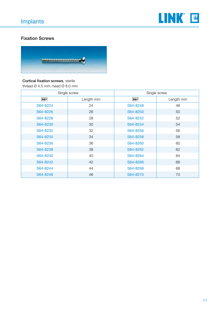

## Fixation Screws



## Cortical fixation screws, sterile

thread  $\varnothing$  4.5 mm, head  $\varnothing$  8.0 mm

|          | Single screw | Single screw |           |  |
|----------|--------------|--------------|-----------|--|
| REF      | Length mm    | <b>REF</b>   | Length mm |  |
| S64-8224 | 24           | S64-8248     | 48        |  |
| S64-8226 | 26           | S64-8250     | 50        |  |
| S64-8228 | 28           | S64-8252     | 52        |  |
| S64-8230 | 30           | S64-8254     | 54        |  |
| S64-8232 | 32           | S64-8256     | 56        |  |
| S64-8234 | 34           | S64-8258     | 58        |  |
| S64-8236 | 36           | S64-8260     | 60        |  |
| S64-8238 | 38           | S64-8262     | 62        |  |
| S64-8240 | 40           | S64-8264     | 64        |  |
| S64-8242 | 42           | S64-8266     | 66        |  |
| S64-8244 | 44           | S64-8268     | 68        |  |
| S64-8246 | 46           | S64-8270     | 70        |  |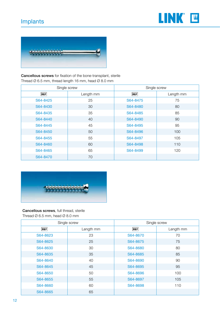# Implants





Cancellous screws for fixation of the bone-transplant, sterile Thread Ø 6.5 mm, thread length 16 mm, head Ø 8.0 mm

| Single screw |           | Single screw |           |  |
|--------------|-----------|--------------|-----------|--|
| <b>REF</b>   | Length mm | <b>REF</b>   | Length mm |  |
| S64-8425     | 25        | S64-8475     | 75        |  |
| S64-8430     | 30        | S64-8480     | 80        |  |
| S64-8435     | 35        | S64-8485     | 85        |  |
| S64-8440     | 40        | S64-8490     | 90        |  |
| S64-8445     | 45        | S64-8495     | 95        |  |
| S64-8450     | 50        | S64-8496     | 100       |  |
| S64-8455     | 55        | S64-8497     | 105       |  |
| S64-8460     | 60        | S64-8498     | 110       |  |
| S64-8465     | 65        | S64-8499     | 120       |  |
| S64-8470     | 70        |              |           |  |



## Cancellous screws, full thread, sterile

Thread Ø 6.5 mm, head Ø 8.0 mm

|            | Single screw | Single screw |           |  |
|------------|--------------|--------------|-----------|--|
| <b>REF</b> | Length mm    | <b>REF</b>   | Length mm |  |
| S64-8623   | 23           | S64-8670     | 70        |  |
| S64-8625   | 25           | S64-8675     | 75        |  |
| S64-8630   | 30           | S64-8680     | 80        |  |
| S64-8635   | 35           | S64-8685     | 85        |  |
| S64-8640   | 40           | S64-8690     | 90        |  |
| S64-8645   | 45           | S64-8695     | 95        |  |
| S64-8650   | 50           | S64-8696     | 100       |  |
| S64-8655   | 55           | S64-8697     | 105       |  |
| S64-8660   | 60           | S64-8698     | 110       |  |
| S64-8665   | 65           |              |           |  |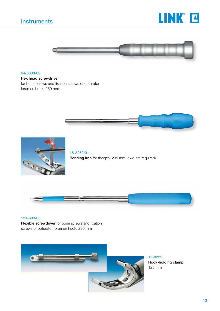# **Instruments**





#### 64-8008/02

#### Hex head screwdriver

for bone screws and fixation screws of obturator foramen hook, 250 mm





15-8262/01 Bending iron for flanges, 235 mm, (two are required)



#### 131-609/03

Flexible screwdriver for bone screws and fixation screws of obturator foramen hook, 290 mm



15-8225 Hook-holding clamp, 125 mm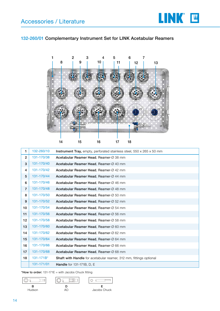

## 132-260/01 Complementary Instrument Set for LINK Acetabular Reamers



| 1.             | 132-260/10     | <b>Instrument Tray,</b> empty, perforated stainless steel, $550 \times 265 \times 50$ mm |
|----------------|----------------|------------------------------------------------------------------------------------------|
| $\overline{2}$ | 131-170/38     | Acetabular Reamer Head, Reamer-Ø 38 mm                                                   |
| 3              | 131-170/40     | Acetabular Reamer Head, Reamer-Ø 40 mm                                                   |
| 4              | 131-170/42     | Acetabular Reamer Head, Reamer-Ø 42 mm                                                   |
| 5              | 131-170/44     | Acetabular Reamer Head, Reamer-Ø 44 mm                                                   |
| 6              | 131-170/46     | Acetabular Reamer Head, Reamer-Ø 46 mm                                                   |
| $\overline{7}$ | 131-170/48     | Acetabular Reamer Head, Reamer-Ø 48 mm                                                   |
| 8              | 131-170/50     | Acetabular Reamer Head, Reamer-Ø 50 mm                                                   |
| 9              | 131-170/52     | Acetabular Reamer Head, Reamer-Ø 52 mm                                                   |
| 10             | 131-170/54     | Acetabular Reamer Head, Reamer-Ø 54 mm                                                   |
| 11             | 131-170/56     | Acetabular Reamer Head, Reamer-Ø 56 mm                                                   |
| 12             | 131-170/58     | Acetabular Reamer Head, Reamer-Ø 58 mm                                                   |
| 13             | 131-170/60     | Acetabular Reamer Head, Reamer-Ø 60 mm                                                   |
| 14             | 131-170/62     | Acetabular Reamer Head, Reamer-Ø 62 mm                                                   |
| 15             | 131-170/64     | Acetabular Reamer Head, Reamer-Ø 64 mm                                                   |
| 16             | 131-170/66     | Acetabular Reamer Head, Reamer-Ø 66 mm                                                   |
| 17             | 131-170/68     | Acetabular Reamer Head, Reamer-Ø 68 mm                                                   |
| 18             | $131 - 171B^*$ | <b>Shaft with Handle</b> for acetabular reamer, 312 mm, fittings optional                |
|                | 131-171/01     | <b>Handle</b> for 131-171B, D, E                                                         |

\*How to order:  $131-171E =$  with Jacobs Chuck fitting

$$
\begin{array}{|c|c|c|c|}\hline \circ & \Box & \Box & \circ & \Box \\ \hline B & \bullet & \bullet & \bullet \\ \hline \end{array}
$$



Hudson AO Jacobs Chuck

 $\circ$  $\sqrt{2}$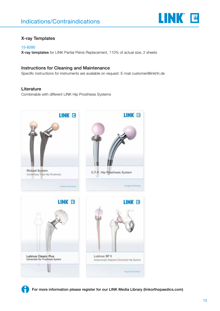

## X-ray Templates

#### 15-8280

X-ray templates for LINK Partial Pelvis Replacement, 110% of actual size, 2 sheets

## Instructions for Cleaning and Maintenance

Specific instructions for instruments are available on request: E-mail customer@linkhh.de

## Literature

Combinable with different LINK Hip Prosthesis Systems





For more information please register for our LINK Media Library (linkorthopaedics.com)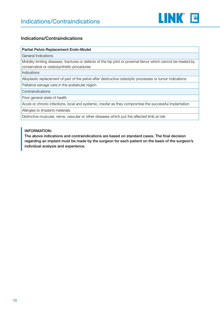

## Indications/Contraindications

#### Partial Pelvis Replacement Endo-Model

General Indications

Mobility-limiting diseases, fractures or defects of the hip joint or proximal femur which cannot be treated by conservative or osteosynthetic procedures

Indications

Alloplastic replacement of part of the pelvis after destructive osteolytic processes or tumor indications

Palliative salvage care in the acetabular region

**Contraindications** 

Poor general state of health

Acute or chronic infections, local and systemic, insofar as they compromise the successful implantation

Allergies to (implant) materials

Distinctive muscular, nerve, vascular or other diseases which put the affected limb at risk

#### INFORMATION:

The above indications and contraindications are based on standard cases. The final decision regarding an implant must be made by the surgeon for each patient on the basis of the surgeon's individual analysis and experience.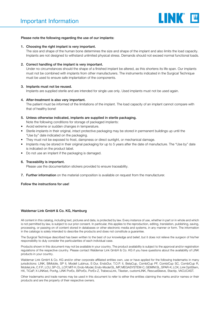

#### Please note the following regarding the use of our implants:

#### 1. Choosing the right implant is very important.

The size and shape of the human bone determines the size and shape of the implant and also limits the load capacity. Implants are not designed to withstand unlimited physical stress. Demands should not exceed normal functional loads.

#### 2. Correct handling of the implant is very important.

Under no circumstances should the shape of a finished implant be altered, as this shortens its life span. Our implants must not be combined with implants from other manufacturers. The instruments indicated in the Surgical Technique must be used to ensure safe implantation of the components.

#### 3. Implants must not be reused.

Implants are supplied sterile and are intended for single use only. Used implants must not be used again.

#### 4. After-treatment is also very important.

The patient must be informed of the limitations of the implant. The load capacity of an implant cannot compare with that of healthy bone!

### 5. Unless otherwise indicated, implants are supplied in sterile packaging.

- Note the following conditions for storage of packaged implants:
- Avoid extreme or sudden changes in temperature.
- Sterile implants in their original, intact protective packaging may be stored in permanent buildings up until the "Use by" date indicated on the packaging.
- They must not be exposed to frost, dampness or direct sunlight, or mechanical damage.
- Implants may be stored in their original packaging for up to 5 years after the date of manufacture. The "Use by" date is indicated on the product label.
- Do not use an implant if the packaging is damaged.

#### 6. Traceability is important.

Please use the documentation stickers provided to ensure traceability.

7. Further information on the material composition is available on request from the manufacturer.

Follow the instructions for use!

#### Waldemar Link GmbH & Co. KG, Hamburg

All content in this catalog, including text, pictures and data, is protected by law. Every instance of use, whether in part or in whole and which is not permitted by law, is subject to our prior consent. In particular, this applies to the reproduction, editing, translation, publishing, saving, processing, or passing on of content stored in databases or other electronic media and systems, in any manner or form. The information in the catalogs is solely intended to describe the products and does not constitute a guarantee.

The Surgical Technique described has been written to the best of our knowledge and belief, but it does not relieve the surgeon of his/her responsibility to duly consider the particularities of each individual case.

Products shown in this document may not be available in your country. The product availability is subject to the approval and/or registration regulations of the respective country. Please contact Waldemar Link GmbH & Co. KG if you have questions about the availability of LINK products in your country.

Waldemar Link GmbH & Co. KG and/or other corporate affiliated entities own, use or have applied for the following trademarks in many jurisdictions: LINK, BiMobile, SP II, Modell Lubinus, E-Dur, EndoDur, T.O.P. II, BetaCup, CombiCup PF, CombiCup SC, CombiCup R, MobileLink, C.F.P., LCU, SP-CL, LCP, MIT-H, Endo-Model, Endo-Model SL, MP, MEGASYSTEM-C, GEMINI SL, SPAR-K, LCK, Link OptiStem, HX, TiCaP, X-LINKed, PorAg, LINK PorEx, BiPorEx, PorEx-Z, TrabecuLink, Tilastan, customLINK, RescueSleeve, Stactip, VACUCAST.

Other trademarks and trade names may be used in this document to refer to either the entities claiming the marks and/or names or their products and are the property of their respective owners.